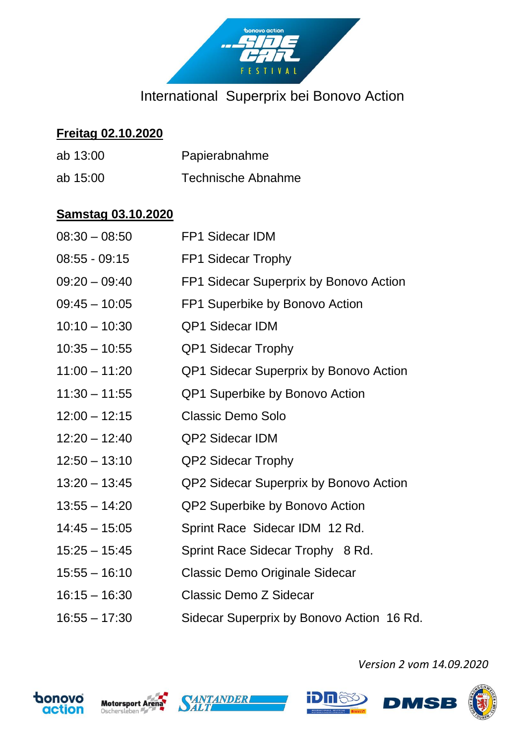

# International Superprix bei Bonovo Action

### **Freitag 02.10.2020**

| ab 13:00 | Papierabnahme             |
|----------|---------------------------|
| ab 15:00 | <b>Technische Abnahme</b> |

#### **Samstag 03.10.2020**

| $08:30 - 08:50$ | <b>FP1 Sidecar IDM</b>                        |
|-----------------|-----------------------------------------------|
| $08:55 - 09:15$ | <b>FP1 Sidecar Trophy</b>                     |
| $09:20 - 09:40$ | FP1 Sidecar Superprix by Bonovo Action        |
| $09:45 - 10:05$ | FP1 Superbike by Bonovo Action                |
| $10:10 - 10:30$ | <b>QP1 Sidecar IDM</b>                        |
| $10:35 - 10:55$ | <b>QP1 Sidecar Trophy</b>                     |
| $11:00 - 11:20$ | <b>QP1 Sidecar Superprix by Bonovo Action</b> |
| $11:30 - 11:55$ | QP1 Superbike by Bonovo Action                |
| $12:00 - 12:15$ | <b>Classic Demo Solo</b>                      |
| $12:20 - 12:40$ | <b>QP2 Sidecar IDM</b>                        |
| $12:50 - 13:10$ | QP2 Sidecar Trophy                            |
| $13:20 - 13:45$ | QP2 Sidecar Superprix by Bonovo Action        |
| $13:55 - 14:20$ | QP2 Superbike by Bonovo Action                |
| $14:45 - 15:05$ | Sprint Race Sidecar IDM 12 Rd.                |
| $15:25 - 15:45$ | Sprint Race Sidecar Trophy 8 Rd.              |
| $15:55 - 16:10$ | <b>Classic Demo Originale Sidecar</b>         |
| $16:15 - 16:30$ | Classic Demo Z Sidecar                        |
| $16:55 - 17:30$ | Sidecar Superprix by Bonovo Action 16 Rd.     |







*Version 2 vom 14.09.2020*